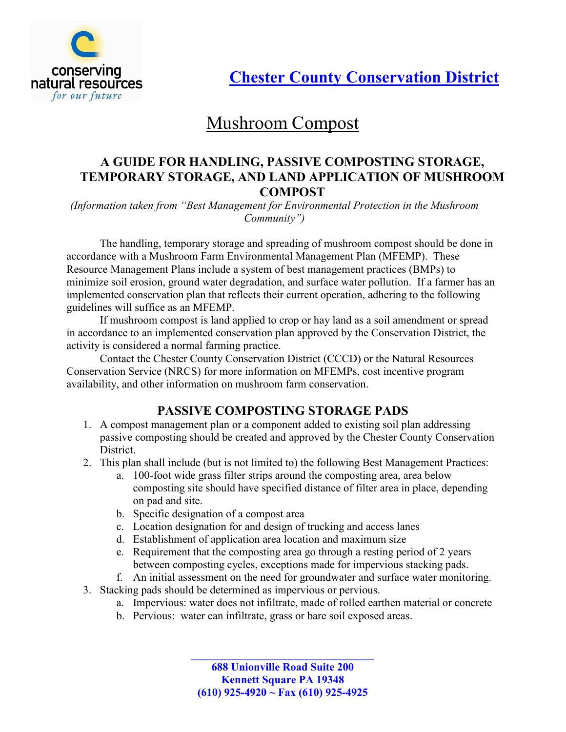

**Chester County Conservation District** 

# Mushroom Compost

### A GUIDE FOR HANDLING, PASSIVE COMPOSTING STORAGE, TEMPORARY STORAGE, AND LAND APPLICATION OF MUSHROOM COMPOST

(Information taken from "Best Management for Environmental Protection in the Mushroom Community")

The handling, temporary storage and spreading of mushroom compost should be done in accordance with a Mushroom Farm Environmental Management Plan (MFEMP). These Resource Management Plans include a system of best management practices (BMPs) to minimize soil erosion, ground water degradation, and surface water pollution. If a farmer has an implemented conservation plan that reflects their current operation, adhering to the following guidelines will suffice as an MFEMP.

If mushroom compost is land applied to crop or hay land as a soil amendment or spread in accordance to an implemented conservation plan approved by the Conservation District, the activity is considered a normal farming practice.

Contact the Chester County Conservation District (CCCD) or the Natural Resources Conservation Service (NRCS) for more information on MFEMPs, cost incentive program availability, and other information on mushroom farm conservation.

## PASSIVE COMPOSTING STORAGE PADS

- 1. A compost management plan or a component added to existing soil plan addressing passive composting should be created and approved by the Chester County Conservation District.
- 2. This plan shall include (but is not limited to) the following Best Management Practices:
	- a. 100-foot wide grass filter strips around the composting area, area below composting site should have specified distance of filter area in place, depending on pad and site.
	- b. Specific designation of a compost area
	- c. Location designation for and design of trucking and access lanes
	- d. Establishment of application area location and maximum size
	- e. Requirement that the composting area go through a resting period of 2 years between composting cycles, exceptions made for impervious stacking pads.
	- f. An initial assessment on the need for groundwater and surface water monitoring.
- 3. Stacking pads should be determined as impervious or pervious.
	- a. Impervious: water does not infiltrate, made of rolled earthen material or concrete
	- b. Pervious: water can infiltrate, grass or bare soil exposed areas.

688 Unionville Road Suite 200 Kennett Square PA 19348 (610) 925-4920 ~ Fax (610) 925-4925

\_\_\_\_\_\_\_\_\_\_\_\_\_\_\_\_\_\_\_\_\_\_\_\_\_\_\_\_\_\_\_\_\_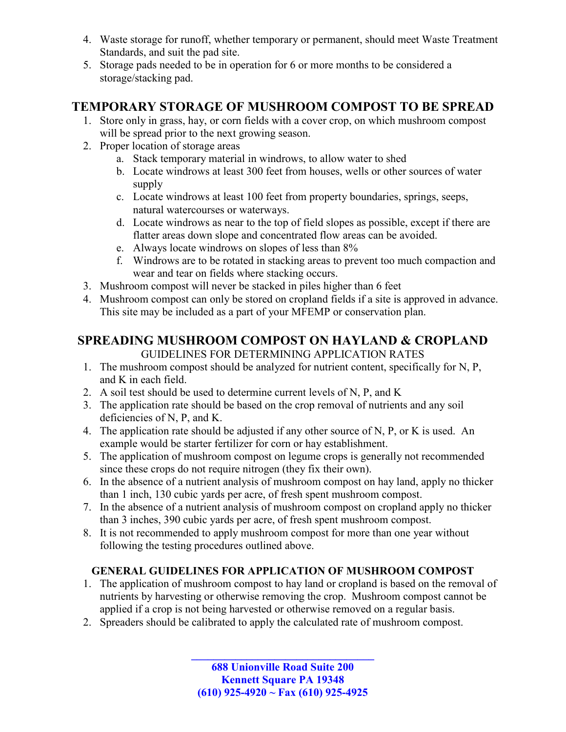- 4. Waste storage for runoff, whether temporary or permanent, should meet Waste Treatment Standards, and suit the pad site.
- 5. Storage pads needed to be in operation for 6 or more months to be considered a storage/stacking pad.

# TEMPORARY STORAGE OF MUSHROOM COMPOST TO BE SPREAD

- 1. Store only in grass, hay, or corn fields with a cover crop, on which mushroom compost will be spread prior to the next growing season.
- 2. Proper location of storage areas
	- a. Stack temporary material in windrows, to allow water to shed
	- b. Locate windrows at least 300 feet from houses, wells or other sources of water supply
	- c. Locate windrows at least 100 feet from property boundaries, springs, seeps, natural watercourses or waterways.
	- d. Locate windrows as near to the top of field slopes as possible, except if there are flatter areas down slope and concentrated flow areas can be avoided.
	- e. Always locate windrows on slopes of less than 8%
	- f. Windrows are to be rotated in stacking areas to prevent too much compaction and wear and tear on fields where stacking occurs.
- 3. Mushroom compost will never be stacked in piles higher than 6 feet
- 4. Mushroom compost can only be stored on cropland fields if a site is approved in advance. This site may be included as a part of your MFEMP or conservation plan.

# SPREADING MUSHROOM COMPOST ON HAYLAND & CROPLAND

GUIDELINES FOR DETERMINING APPLICATION RATES

- 1. The mushroom compost should be analyzed for nutrient content, specifically for N, P, and K in each field.
- 2. A soil test should be used to determine current levels of N, P, and K
- 3. The application rate should be based on the crop removal of nutrients and any soil deficiencies of N, P, and K.
- 4. The application rate should be adjusted if any other source of N, P, or K is used. An example would be starter fertilizer for corn or hay establishment.
- 5. The application of mushroom compost on legume crops is generally not recommended since these crops do not require nitrogen (they fix their own).
- 6. In the absence of a nutrient analysis of mushroom compost on hay land, apply no thicker than 1 inch, 130 cubic yards per acre, of fresh spent mushroom compost.
- 7. In the absence of a nutrient analysis of mushroom compost on cropland apply no thicker than 3 inches, 390 cubic yards per acre, of fresh spent mushroom compost.
- 8. It is not recommended to apply mushroom compost for more than one year without following the testing procedures outlined above.

#### GENERAL GUIDELINES FOR APPLICATION OF MUSHROOM COMPOST

- 1. The application of mushroom compost to hay land or cropland is based on the removal of nutrients by harvesting or otherwise removing the crop. Mushroom compost cannot be applied if a crop is not being harvested or otherwise removed on a regular basis.
- 2. Spreaders should be calibrated to apply the calculated rate of mushroom compost.

\_\_\_\_\_\_\_\_\_\_\_\_\_\_\_\_\_\_\_\_\_\_\_\_\_\_\_\_\_\_\_\_\_ 688 Unionville Road Suite 200 Kennett Square PA 19348 (610) 925-4920 ~ Fax (610) 925-4925